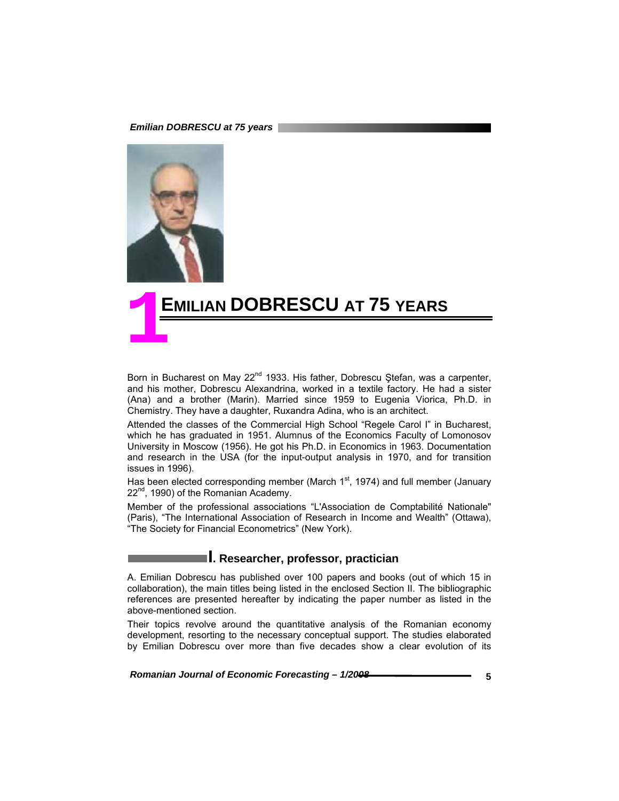*Emilian DOBRESCU at 75 years* 



# **EMILIAN DOBRESCU AT 75 YEARS 1**

Born in Bucharest on May 22<sup>nd</sup> 1933. His father, Dobrescu Ștefan, was a carpenter, and his mother, Dobrescu Alexandrina, worked in a textile factory. He had a sister (Ana) and a brother (Marin). Married since 1959 to Eugenia Viorica, Ph.D. in Chemistry. They have a daughter, Ruxandra Adina, who is an architect.

Attended the classes of the Commercial High School "Regele Carol I" in Bucharest, which he has graduated in 1951. Alumnus of the Economics Faculty of Lomonosov University in Moscow (1956). He got his Ph.D. in Economics in 1963. Documentation and research in the USA (for the input-output analysis in 1970, and for transition issues in 1996).

Has been elected corresponding member (March  $1<sup>st</sup>$ , 1974) and full member (January 22<sup>nd</sup>, 1990) of the Romanian Academy.

Member of the professional associations "L'Association de Comptabilité Nationale" (Paris), "The International Association of Research in Income and Wealth" (Ottawa), "The Society for Financial Econometrics" (New York).

# **I. Researcher, professor, practician**

A. Emilian Dobrescu has published over 100 papers and books (out of which 15 in collaboration), the main titles being listed in the enclosed Section II. The bibliographic references are presented hereafter by indicating the paper number as listed in the above-mentioned section.

Their topics revolve around the quantitative analysis of the Romanian economy development, resorting to the necessary conceptual support. The studies elaborated by Emilian Dobrescu over more than five decades show a clear evolution of its

*Romanian Journal of Economic Forecasting – 1/2008* **<b>Concernant Constant Constant Constant Constant Constant Constant Constant Constant Constant Constant Constant Constant Constant Constant Constant Constant Constant Cons**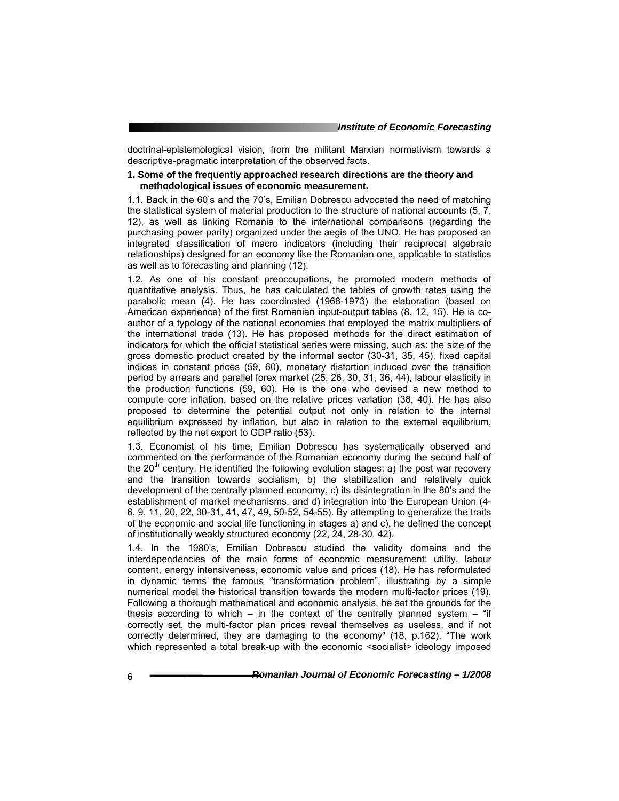doctrinal-epistemological vision, from the militant Marxian normativism towards a descriptive-pragmatic interpretation of the observed facts.

### **1. Some of the frequently approached research directions are the theory and methodological issues of economic measurement.**

1.1. Back in the 60's and the 70's, Emilian Dobrescu advocated the need of matching the statistical system of material production to the structure of national accounts (5, 7, 12), as well as linking Romania to the international comparisons (regarding the purchasing power parity) organized under the aegis of the UNO. He has proposed an integrated classification of macro indicators (including their reciprocal algebraic relationships) designed for an economy like the Romanian one, applicable to statistics as well as to forecasting and planning (12).

1.2. As one of his constant preoccupations, he promoted modern methods of quantitative analysis. Thus, he has calculated the tables of growth rates using the parabolic mean (4). He has coordinated (1968-1973) the elaboration (based on American experience) of the first Romanian input-output tables (8, 12, 15). He is coauthor of a typology of the national economies that employed the matrix multipliers of the international trade (13). He has proposed methods for the direct estimation of indicators for which the official statistical series were missing, such as: the size of the gross domestic product created by the informal sector (30-31, 35, 45), fixed capital indices in constant prices (59, 60), monetary distortion induced over the transition period by arrears and parallel forex market (25, 26, 30, 31, 36, 44), labour elasticity in the production functions (59, 60). He is the one who devised a new method to compute core inflation, based on the relative prices variation (38, 40). He has also proposed to determine the potential output not only in relation to the internal equilibrium expressed by inflation, but also in relation to the external equilibrium, reflected by the net export to GDP ratio (53).

1.3. Economist of his time, Emilian Dobrescu has systematically observed and commented on the performance of the Romanian economy during the second half of the  $20<sup>th</sup>$  century. He identified the following evolution stages: a) the post war recovery and the transition towards socialism, b) the stabilization and relatively quick development of the centrally planned economy, c) its disintegration in the 80's and the establishment of market mechanisms, and d) integration into the European Union (4- 6, 9, 11, 20, 22, 30-31, 41, 47, 49, 50-52, 54-55). By attempting to generalize the traits of the economic and social life functioning in stages a) and c), he defined the concept of institutionally weakly structured economy (22, 24, 28-30, 42).

1.4. In the 1980's, Emilian Dobrescu studied the validity domains and the interdependencies of the main forms of economic measurement: utility, labour content, energy intensiveness, economic value and prices (18). He has reformulated in dynamic terms the famous "transformation problem", illustrating by a simple numerical model the historical transition towards the modern multi-factor prices (19). Following a thorough mathematical and economic analysis, he set the grounds for the thesis according to which – in the context of the centrally planned system – "if correctly set, the multi-factor plan prices reveal themselves as useless, and if not correctly determined, they are damaging to the economy" (18, p.162). "The work which represented a total break-up with the economic <socialist> ideology imposed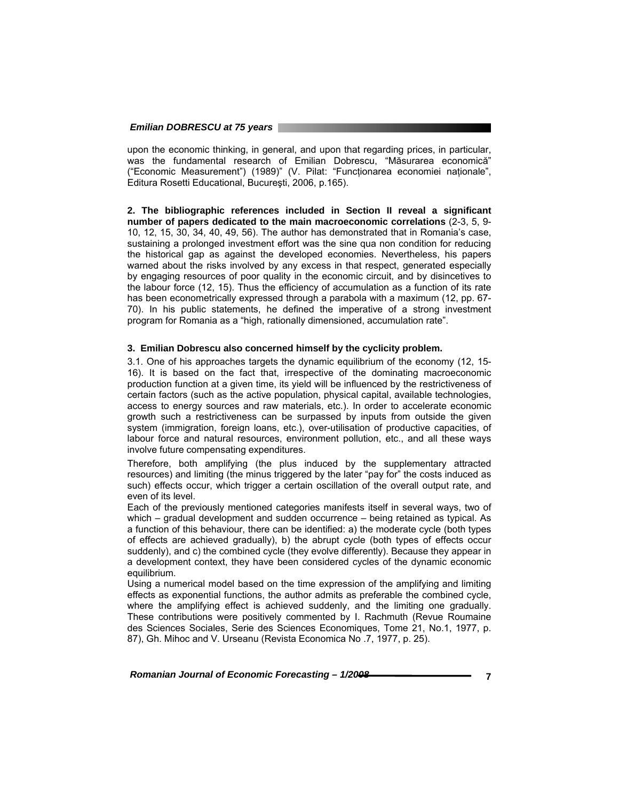upon the economic thinking, in general, and upon that regarding prices, in particular, was the fundamental research of Emilian Dobrescu, "Măsurarea economică" ("Economic Measurement") (1989)" (V. Pilat: "Funcţionarea economiei naţionale", Editura Rosetti Educational, Bucureşti, 2006, p.165).

**2. The bibliographic references included in Section II reveal a significant number of papers dedicated to the main macroeconomic correlations** (2-3, 5, 9- 10, 12, 15, 30, 34, 40, 49, 56). The author has demonstrated that in Romania's case, sustaining a prolonged investment effort was the sine qua non condition for reducing the historical gap as against the developed economies. Nevertheless, his papers warned about the risks involved by any excess in that respect, generated especially by engaging resources of poor quality in the economic circuit, and by disincetives to the labour force (12, 15). Thus the efficiency of accumulation as a function of its rate has been econometrically expressed through a parabola with a maximum (12, pp. 67- 70). In his public statements, he defined the imperative of a strong investment program for Romania as a "high, rationally dimensioned, accumulation rate".

#### **3. Emilian Dobrescu also concerned himself by the cyclicity problem.**

3.1. One of his approaches targets the dynamic equilibrium of the economy (12, 15- 16). It is based on the fact that, irrespective of the dominating macroeconomic production function at a given time, its yield will be influenced by the restrictiveness of certain factors (such as the active population, physical capital, available technologies, access to energy sources and raw materials, etc.). In order to accelerate economic growth such a restrictiveness can be surpassed by inputs from outside the given system (immigration, foreign loans, etc.), over-utilisation of productive capacities, of labour force and natural resources, environment pollution, etc., and all these ways involve future compensating expenditures.

Therefore, both amplifying (the plus induced by the supplementary attracted resources) and limiting (the minus triggered by the later "pay for" the costs induced as such) effects occur, which trigger a certain oscillation of the overall output rate, and even of its level.

Each of the previously mentioned categories manifests itself in several ways, two of which – gradual development and sudden occurrence – being retained as typical. As a function of this behaviour, there can be identified: a) the moderate cycle (both types of effects are achieved gradually), b) the abrupt cycle (both types of effects occur suddenly), and c) the combined cycle (they evolve differently). Because they appear in a development context, they have been considered cycles of the dynamic economic equilibrium.

Using a numerical model based on the time expression of the amplifying and limiting effects as exponential functions, the author admits as preferable the combined cycle, where the amplifying effect is achieved suddenly, and the limiting one gradually. These contributions were positively commented by I. Rachmuth (Revue Roumaine des Sciences Sociales, Serie des Sciences Economiques, Tome 21, No.1, 1977, p. 87), Gh. Mihoc and V. Urseanu (Revista Economica No .7, 1977, p. 25).

*Romanian Journal of Economic Forecasting – 1/2008 7*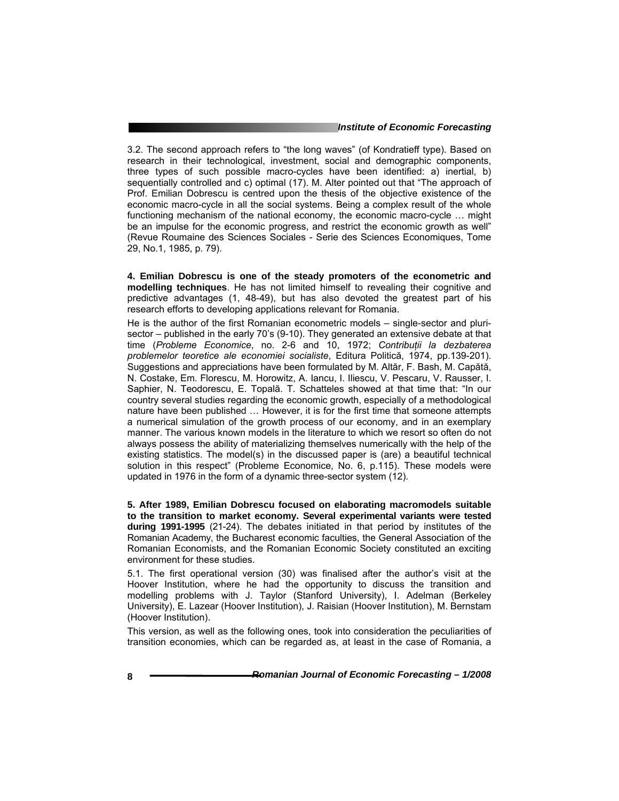#### *Institute of Economic Forecasting*

3.2. The second approach refers to "the long waves" (of Kondratieff type). Based on research in their technological, investment, social and demographic components, three types of such possible macro-cycles have been identified: a) inertial, b) sequentially controlled and c) optimal (17). M. Alter pointed out that "The approach of Prof. Emilian Dobrescu is centred upon the thesis of the objective existence of the economic macro-cycle in all the social systems. Being a complex result of the whole functioning mechanism of the national economy, the economic macro-cycle … might be an impulse for the economic progress, and restrict the economic growth as well" (Revue Roumaine des Sciences Sociales - Serie des Sciences Economiques, Tome 29, No.1, 1985, p. 79).

**4. Emilian Dobrescu is one of the steady promoters of the econometric and modelling techniques**. He has not limited himself to revealing their cognitive and predictive advantages (1, 48-49), but has also devoted the greatest part of his research efforts to developing applications relevant for Romania.

He is the author of the first Romanian econometric models – single-sector and plurisector – published in the early 70's (9-10). They generated an extensive debate at that time (*Probleme Economice*, no. 2-6 and 10, 1972; *Contribuţii la dezbaterea problemelor teoretice ale economiei socialiste*, Editura Politică, 1974, pp.139-201). Suggestions and appreciations have been formulated by M. Altăr, F. Bash, M. Capătă, N. Costake, Em. Florescu, M. Horowitz, A. Iancu, I. Iliescu, V. Pescaru, V. Rausser, I. Saphier, N. Teodorescu, E. Topală. T. Schatteles showed at that time that: "In our country several studies regarding the economic growth, especially of a methodological nature have been published … However, it is for the first time that someone attempts a numerical simulation of the growth process of our economy, and in an exemplary manner. The various known models in the literature to which we resort so often do not always possess the ability of materializing themselves numerically with the help of the existing statistics. The model(s) in the discussed paper is (are) a beautiful technical solution in this respect" (Probleme Economice, No. 6, p.115). These models were updated in 1976 in the form of a dynamic three-sector system (12).

**5. After 1989, Emilian Dobrescu focused on elaborating macromodels suitable to the transition to market economy. Several experimental variants were tested during 1991-1995** (21-24). The debates initiated in that period by institutes of the Romanian Academy, the Bucharest economic faculties, the General Association of the Romanian Economists, and the Romanian Economic Society constituted an exciting environment for these studies.

5.1. The first operational version (30) was finalised after the author's visit at the Hoover Institution, where he had the opportunity to discuss the transition and modelling problems with J. Taylor (Stanford University), I. Adelman (Berkeley University), E. Lazear (Hoover Institution), J. Raisian (Hoover Institution), M. Bernstam (Hoover Institution).

This version, as well as the following ones, took into consideration the peculiarities of transition economies, which can be regarded as, at least in the case of Romania, a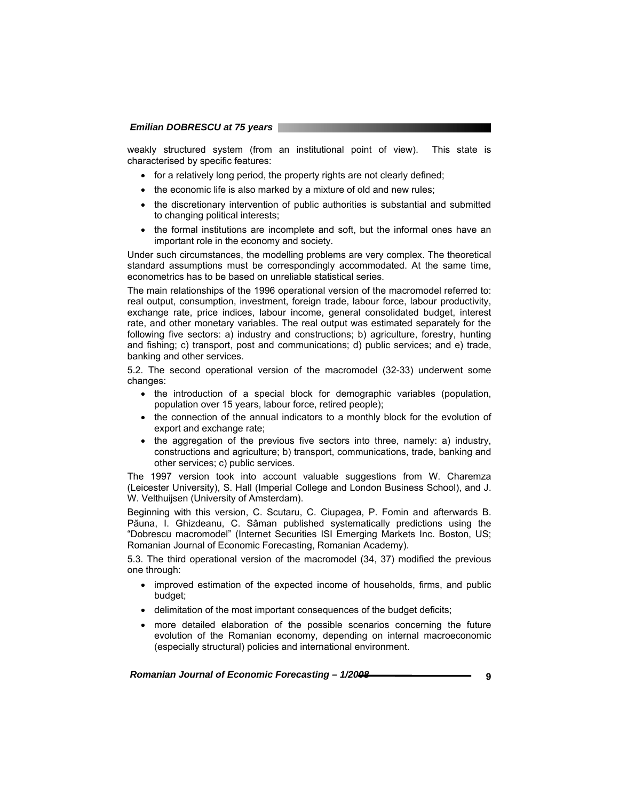weakly structured system (from an institutional point of view). This state is characterised by specific features:

- for a relatively long period, the property rights are not clearly defined;
- the economic life is also marked by a mixture of old and new rules;
- the discretionary intervention of public authorities is substantial and submitted to changing political interests;
- the formal institutions are incomplete and soft, but the informal ones have an important role in the economy and society.

Under such circumstances, the modelling problems are very complex. The theoretical standard assumptions must be correspondingly accommodated. At the same time, econometrics has to be based on unreliable statistical series.

The main relationships of the 1996 operational version of the macromodel referred to: real output, consumption, investment, foreign trade, labour force, labour productivity, exchange rate, price indices, labour income, general consolidated budget, interest rate, and other monetary variables. The real output was estimated separately for the following five sectors: a) industry and constructions; b) agriculture, forestry, hunting and fishing; c) transport, post and communications; d) public services; and e) trade, banking and other services.

5.2. The second operational version of the macromodel (32-33) underwent some changes:

- the introduction of a special block for demographic variables (population, population over 15 years, labour force, retired people);
- the connection of the annual indicators to a monthly block for the evolution of export and exchange rate;
- the aggregation of the previous five sectors into three, namely: a) industry, constructions and agriculture; b) transport, communications, trade, banking and other services; c) public services.

The 1997 version took into account valuable suggestions from W. Charemza (Leicester University), S. Hall (Imperial College and London Business School), and J. W. Velthuijsen (University of Amsterdam).

Beginning with this version, C. Scutaru, C. Ciupagea, P. Fomin and afterwards B. Păuna, I. Ghizdeanu, C. Sâman published systematically predictions using the "Dobrescu macromodel" (Internet Securities ISI Emerging Markets Inc. Boston, US; Romanian Journal of Economic Forecasting, Romanian Academy).

5.3. The third operational version of the macromodel (34, 37) modified the previous one through:

- improved estimation of the expected income of households, firms, and public budget;
- delimitation of the most important consequences of the budget deficits;
- more detailed elaboration of the possible scenarios concerning the future evolution of the Romanian economy, depending on internal macroeconomic (especially structural) policies and international environment.

*Romanian Journal of Economic Forecasting – 1/2008* **<b>***BODING 2008*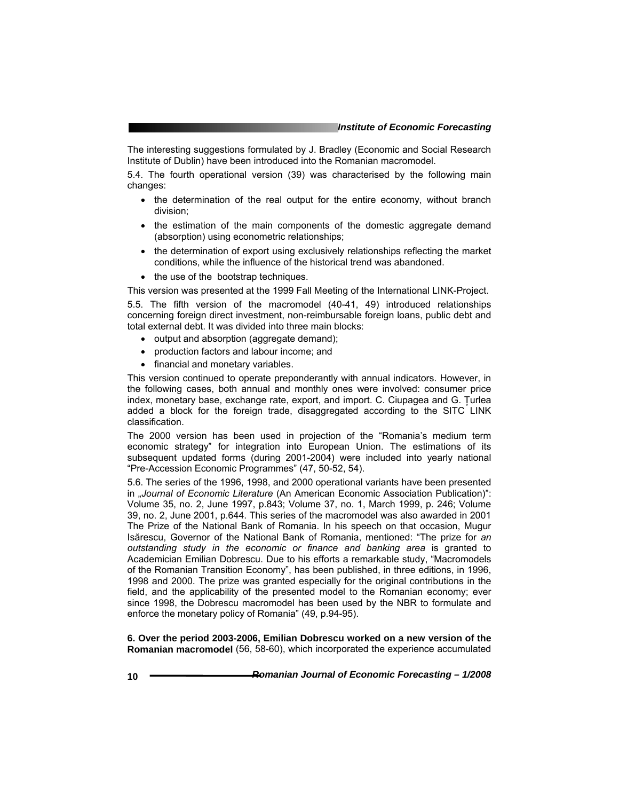The interesting suggestions formulated by J. Bradley (Economic and Social Research Institute of Dublin) have been introduced into the Romanian macromodel.

5.4. The fourth operational version (39) was characterised by the following main changes:

- the determination of the real output for the entire economy, without branch division;
- the estimation of the main components of the domestic aggregate demand (absorption) using econometric relationships;
- the determination of export using exclusively relationships reflecting the market conditions, while the influence of the historical trend was abandoned.
- the use of the bootstrap techniques.

This version was presented at the 1999 Fall Meeting of the International LINK-Project.

5.5. The fifth version of the macromodel (40-41, 49) introduced relationships concerning foreign direct investment, non-reimbursable foreign loans, public debt and total external debt. It was divided into three main blocks:

- output and absorption (aggregate demand);
- production factors and labour income; and
- financial and monetary variables.

This version continued to operate preponderantly with annual indicators. However, in the following cases, both annual and monthly ones were involved: consumer price index, monetary base, exchange rate, export, and import. C. Ciupagea and G. Ţurlea added a block for the foreign trade, disaggregated according to the SITC LINK classification.

The 2000 version has been used in projection of the "Romania's medium term economic strategy" for integration into European Union. The estimations of its subsequent updated forms (during 2001-2004) were included into yearly national "Pre-Accession Economic Programmes" (47, 50-52, 54).

5.6. The series of the 1996, 1998, and 2000 operational variants have been presented in "*Journal of Economic Literature* (An American Economic Association Publication)": Volume 35, no. 2, June 1997, p.843; Volume 37, no. 1, March 1999, p. 246; Volume 39, no. 2, June 2001, p.644. This series of the macromodel was also awarded in 2001 The Prize of the National Bank of Romania. In his speech on that occasion, Mugur Isărescu, Governor of the National Bank of Romania, mentioned: "The prize for *an outstanding study in the economic or finance and banking area* is granted to Academician Emilian Dobrescu. Due to his efforts a remarkable study, "Macromodels of the Romanian Transition Economy", has been published, in three editions, in 1996, 1998 and 2000. The prize was granted especially for the original contributions in the field, and the applicability of the presented model to the Romanian economy; ever since 1998, the Dobrescu macromodel has been used by the NBR to formulate and enforce the monetary policy of Romania" (49, p.94-95).

**6. Over the period 2003-2006, Emilian Dobrescu worked on a new version of the Romanian macromodel** (56, 58-60), which incorporated the experience accumulated

**10** *Romanian Journal of Economic Forecasting – 1/2008*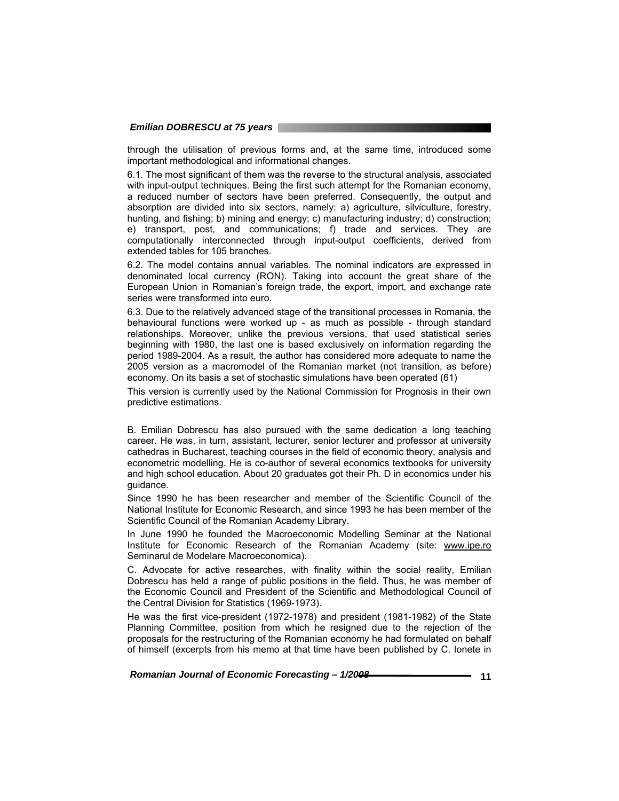#### *Emilian DOBRESCU at 75 years*

through the utilisation of previous forms and, at the same time, introduced some important methodological and informational changes.

6.1. The most significant of them was the reverse to the structural analysis, associated with input-output techniques. Being the first such attempt for the Romanian economy, a reduced number of sectors have been preferred. Consequently, the output and absorption are divided into six sectors, namely: a) agriculture, silviculture, forestry, hunting, and fishing; b) mining and energy; c) manufacturing industry; d) construction; e) transport, post, and communications; f) trade and services. They are computationally interconnected through input-output coefficients, derived from extended tables for 105 branches.

6.2. The model contains annual variables. The nominal indicators are expressed in denominated local currency (RON). Taking into account the great share of the European Union in Romanian's foreign trade, the export, import, and exchange rate series were transformed into euro.

6.3. Due to the relatively advanced stage of the transitional processes in Romania, the behavioural functions were worked up - as much as possible - through standard relationships. Moreover, unlike the previous versions, that used statistical series beginning with 1980, the last one is based exclusively on information regarding the period 1989-2004. As a result, the author has considered more adequate to name the 2005 version as a macromodel of the Romanian market (not transition, as before) economy. On its basis a set of stochastic simulations have been operated (61)

This version is currently used by the National Commission for Prognosis in their own predictive estimations.

B. Emilian Dobrescu has also pursued with the same dedication a long teaching career. He was, in turn, assistant, lecturer, senior lecturer and professor at university cathedras in Bucharest, teaching courses in the field of economic theory, analysis and econometric modelling. He is co-author of several economics textbooks for university and high school education. About 20 graduates got their Ph. D in economics under his guidance.

Since 1990 he has been researcher and member of the Scientific Council of the National Institute for Economic Research, and since 1993 he has been member of the Scientific Council of the Romanian Academy Library.

In June 1990 he founded the Macroeconomic Modelling Seminar at the National Institute for Economic Research of the Romanian Academy (site: www.ipe.ro Seminarul de Modelare Macroeconomica).

C. Advocate for active researches, with finality within the social reality, Emilian Dobrescu has held a range of public positions in the field. Thus, he was member of the Economic Council and President of the Scientific and Methodological Council of the Central Division for Statistics (1969-1973).

He was the first vice-president (1972-1978) and president (1981-1982) of the State Planning Committee, position from which he resigned due to the rejection of the proposals for the restructuring of the Romanian economy he had formulated on behalf of himself (excerpts from his memo at that time have been published by C. Ionete in

 *Romanian Journal of Economic Forecasting – 1/2008* **11**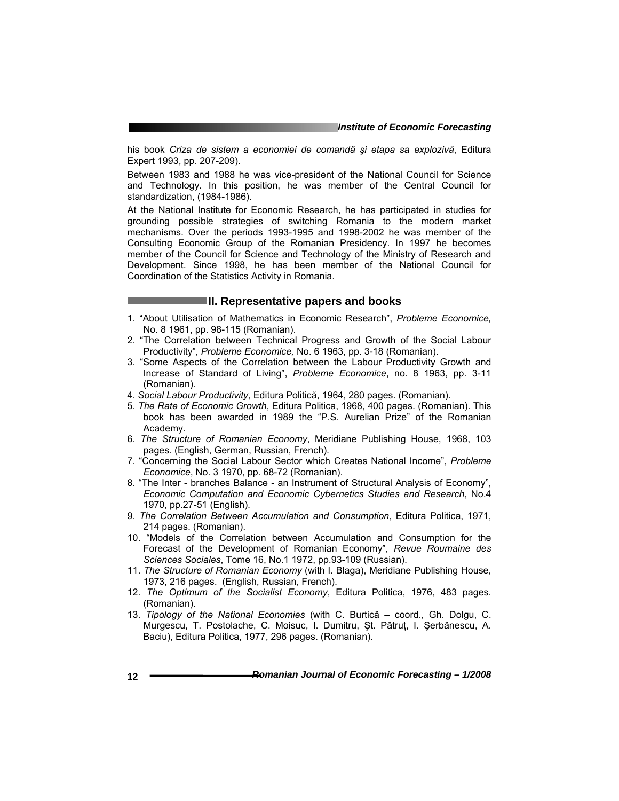his book *Criza de sistem a economiei de comandă şi etapa sa explozivă*, Editura Expert 1993, pp. 207-209).

Between 1983 and 1988 he was vice-president of the National Council for Science and Technology. In this position, he was member of the Central Council for standardization, (1984-1986).

At the National Institute for Economic Research, he has participated in studies for grounding possible strategies of switching Romania to the modern market mechanisms. Over the periods 1993-1995 and 1998-2002 he was member of the Consulting Economic Group of the Romanian Presidency. In 1997 he becomes member of the Council for Science and Technology of the Ministry of Research and Development. Since 1998, he has been member of the National Council for Coordination of the Statistics Activity in Romania.

### **II. Representative papers and books**

- 1. "About Utilisation of Mathematics in Economic Research", *Probleme Economice,* No. 8 1961, pp. 98-115 (Romanian).
- 2. "The Correlation between Technical Progress and Growth of the Social Labour Productivity", *Probleme Economice,* No. 6 1963, pp. 3-18 (Romanian).
- 3. "Some Aspects of the Correlation between the Labour Productivity Growth and Increase of Standard of Living", *Probleme Economice*, no. 8 1963, pp. 3-11 (Romanian).
- 4. *Social Labour Productivity*, Editura Politică, 1964, 280 pages. (Romanian).
- 5. *The Rate of Economic Growth*, Editura Politica, 1968, 400 pages. (Romanian). This book has been awarded in 1989 the "P.S. Aurelian Prize" of the Romanian Academy.
- 6. *The Structure of Romanian Economy*, Meridiane Publishing House, 1968, 103 pages. (English, German, Russian, French).
- 7. "Concerning the Social Labour Sector which Creates National Income", *Probleme Economice*, No. 3 1970, pp. 68-72 (Romanian).
- 8. "The Inter branches Balance an Instrument of Structural Analysis of Economy", *Economic Computation and Economic Cybernetics Studies and Research*, No.4 1970, pp.27-51 (English).
- 9. *The Correlation Between Accumulation and Consumption*, Editura Politica, 1971, 214 pages. (Romanian).
- 10. "Models of the Correlation between Accumulation and Consumption for the Forecast of the Development of Romanian Economy", *Revue Roumaine des Sciences Sociales*, Tome 16, No.1 1972, pp.93-109 (Russian).
- 11. *The Structure of Romanian Economy* (with I. Blaga), Meridiane Publishing House, 1973, 216 pages. (English, Russian, French).
- 12. *The Optimum of the Socialist Economy*, Editura Politica, 1976, 483 pages. (Romanian).
- 13. *Tipology of the National Economies* (with C. Burtică coord., Gh. Dolgu, C. Murgescu, T. Postolache, C. Moisuc, I. Dumitru, Şt. Pătruţ, I. Şerbănescu, A. Baciu), Editura Politica, 1977, 296 pages. (Romanian).

**12** *Romanian Journal of Economic Forecasting – 1/2008*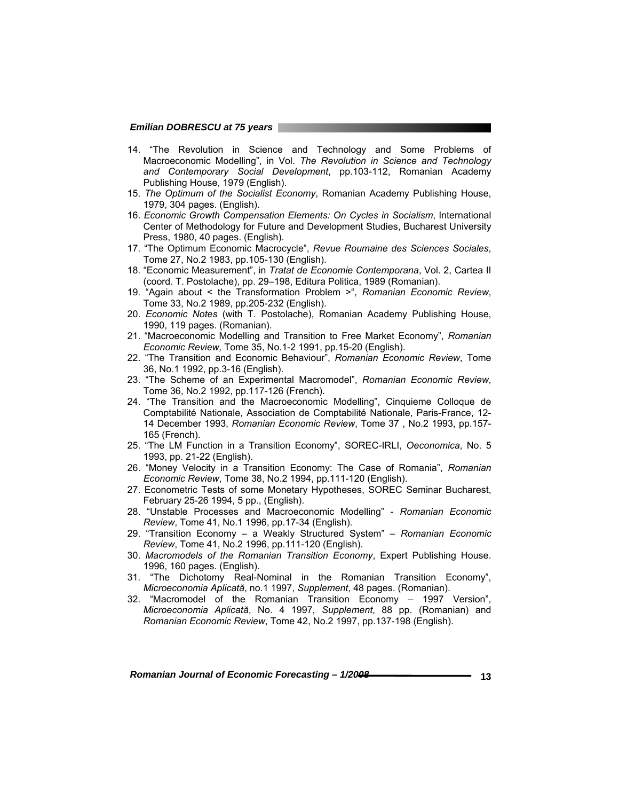- 14. "The Revolution in Science and Technology and Some Problems of Macroeconomic Modelling", in Vol. *The Revolution in Science and Technology and Contemporary Social Development*, pp.103-112, Romanian Academy Publishing House, 1979 (English).
- 15. *The Optimum of the Socialist Economy*, Romanian Academy Publishing House, 1979, 304 pages. (English).
- 16. *Economic Growth Compensation Elements: On Cycles in Socialism*, International Center of Methodology for Future and Development Studies, Bucharest University Press, 1980, 40 pages. (English).
- 17. "The Optimum Economic Macrocycle", *Revue Roumaine des Sciences Sociales*, Tome 27, No.2 1983, pp.105-130 (English).
- 18. "Economic Measurement", in *Tratat de Economie Contemporana*, Vol. 2, Cartea II (coord. T. Postolache), pp. 29–198, Editura Politica, 1989 (Romanian).
- 19. "Again about < the Transformation Problem >", *Romanian Economic Review*, Tome 33, No.2 1989, pp.205-232 (English).
- 20. *Economic Notes* (with T. Postolache), Romanian Academy Publishing House, 1990, 119 pages. (Romanian).
- 21. "Macroeconomic Modelling and Transition to Free Market Economy", *Romanian Economic Review,* Tome 35, No.1-2 1991, pp.15-20 (English).
- 22. "The Transition and Economic Behaviour", *Romanian Economic Review*, Tome 36, No.1 1992, pp.3-16 (English).
- 23. "The Scheme of an Experimental Macromodel", *Romanian Economic Review*, Tome 36, No.2 1992, pp.117-126 (French).
- 24. "The Transition and the Macroeconomic Modelling", Cinquieme Colloque de Comptabilité Nationale, Association de Comptabilité Nationale, Paris-France, 12- 14 December 1993, *Romanian Economic Review*, Tome 37 , No.2 1993, pp.157- 165 (French).
- 25. "The LM Function in a Transition Economy", SOREC-IRLI, *Oeconomica*, No. 5 1993, pp. 21-22 (English).
- 26. "Money Velocity in a Transition Economy: The Case of Romania", *Romanian Economic Review*, Tome 38, No.2 1994, pp.111-120 (English).
- 27. Econometric Tests of some Monetary Hypotheses, SOREC Seminar Bucharest, February 25-26 1994, 5 pp., (English).
- 28. "Unstable Processes and Macroeconomic Modelling" *Romanian Economic Review*, Tome 41, No.1 1996, pp.17-34 (English).
- 29. "Transition Economy a Weakly Structured System" *Romanian Economic Review*, Tome 41, No.2 1996, pp.111-120 (English).
- 30. *Macromodels of the Romanian Transition Economy*, Expert Publishing House. 1996, 160 pages. (English).
- 31. "The Dichotomy Real-Nominal in the Romanian Transition Economy", *Microeconomia Aplicată*, no.1 1997, *Supplement*, 48 pages. (Romanian).
- 32. "Macromodel of the Romanian Transition Economy 1997 Version", *Microeconomia Aplicată*, No. 4 1997, *Supplement*, 88 pp. (Romanian) and *Romanian Economic Review*, Tome 42, No.2 1997, pp.137-198 (English).

*Romanian Journal of Economic Forecasting – 1/2008* **<b>13 13 13**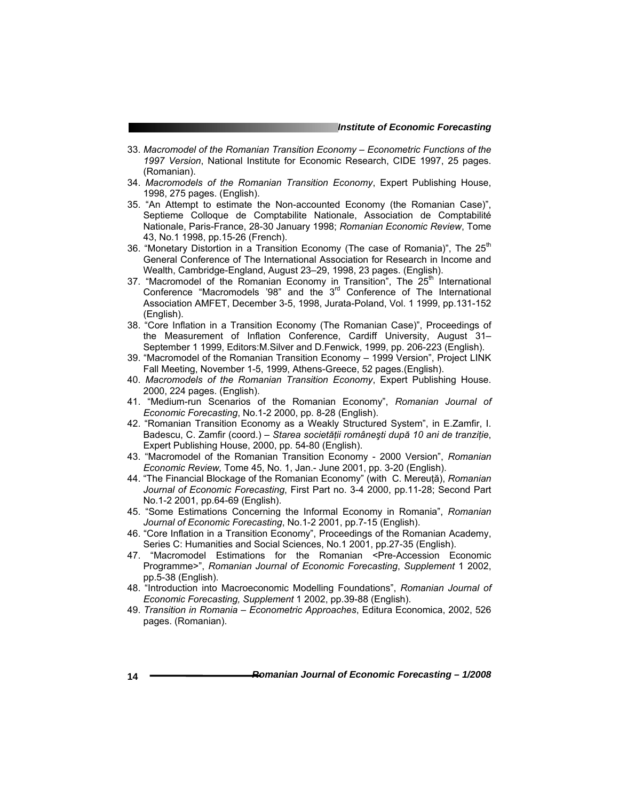- 33. *Macromodel of the Romanian Transition Economy Econometric Functions of the 1997 Version*, National Institute for Economic Research, CIDE 1997, 25 pages. (Romanian).
- 34. *Macromodels of the Romanian Transition Economy*, Expert Publishing House, 1998, 275 pages. (English).
- 35. "An Attempt to estimate the Non-accounted Economy (the Romanian Case)", Septieme Colloque de Comptabilite Nationale, Association de Comptabilité Nationale, Paris-France, 28-30 January 1998; *Romanian Economic Review*, Tome 43, No.1 1998, pp.15-26 (French).
- 36. "Monetary Distortion in a Transition Economy (The case of Romania)", The  $25<sup>th</sup>$ General Conference of The International Association for Research in Income and Wealth, Cambridge-England, August 23–29, 1998, 23 pages. (English).
- 37. "Macromodel of the Romanian Economy in Transition", The  $25<sup>th</sup>$  International Conference "Macromodels '98" and the 3rd Conference of The International Association AMFET, December 3-5, 1998, Jurata-Poland, Vol. 1 1999, pp.131-152 (English).
- 38. "Core Inflation in a Transition Economy (The Romanian Case)", Proceedings of the Measurement of Inflation Conference, Cardiff University, August 31– September 1 1999, Editors:M.Silver and D.Fenwick, 1999, pp. 206-223 (English).
- 39. "Macromodel of the Romanian Transition Economy 1999 Version", Project LINK Fall Meeting, November 1-5, 1999, Athens-Greece, 52 pages.(English).
- 40. *Macromodels of the Romanian Transition Economy*, Expert Publishing House. 2000, 224 pages. (English).
- 41. "Medium-run Scenarios of the Romanian Economy", *Romanian Journal of Economic Forecasting*, No.1-2 2000, pp. 8-28 (English).
- 42. "Romanian Transition Economy as a Weakly Structured System", in E.Zamfir, I. Badescu, C. Zamfir (coord.) – *Starea societăţii româneşti după 10 ani de tranziţie*, Expert Publishing House, 2000, pp. 54-80 (English).
- 43. "Macromodel of the Romanian Transition Economy 2000 Version", *Romanian Economic Review,* Tome 45, No. 1, Jan.- June 2001, pp. 3-20 (English).
- 44. "The Financial Blockage of the Romanian Economy" (with C. Mereuţă), *Romanian Journal of Economic Forecasting*, First Part no. 3-4 2000, pp.11-28; Second Part No.1-2 2001, pp.64-69 (English).
- 45. "Some Estimations Concerning the Informal Economy in Romania", *Romanian Journal of Economic Forecasting*, No.1-2 2001, pp.7-15 (English).
- 46. "Core Inflation in a Transition Economy", Proceedings of the Romanian Academy, Series C: Humanities and Social Sciences, No.1 2001, pp.27-35 (English).
- 47. "Macromodel Estimations for the Romanian <Pre-Accession Economic Programme>", *Romanian Journal of Economic Forecasting*, *Supplement* 1 2002, pp.5-38 (English).
- 48. "Introduction into Macroeconomic Modelling Foundations", *Romanian Journal of Economic Forecasting, Supplement* 1 2002, pp.39-88 (English).
- 49. *Transition in Romania Econometric Approaches*, Editura Economica, 2002, 526 pages. (Romanian).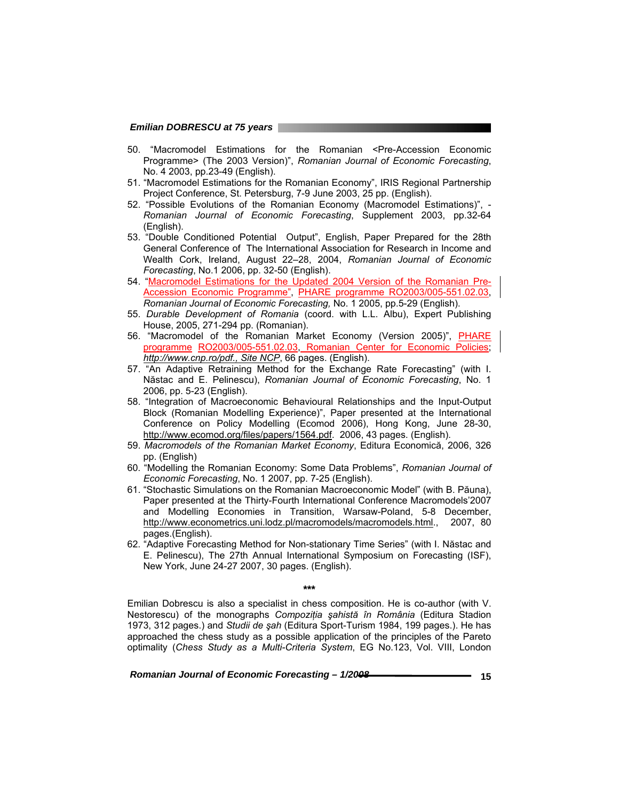- 50. "Macromodel Estimations for the Romanian <Pre-Accession Economic Programme> (The 2003 Version)", *Romanian Journal of Economic Forecasting*, No. 4 2003, pp.23-49 (English).
- 51. "Macromodel Estimations for the Romanian Economy", IRIS Regional Partnership Project Conference, St. Petersburg, 7-9 June 2003, 25 pp. (English).
- 52. "Possible Evolutions of the Romanian Economy (Macromodel Estimations)", *Romanian Journal of Economic Forecasting*, Supplement 2003, pp.32-64 (English).
- 53. "Double Conditioned Potential Output", English, Paper Prepared for the 28th General Conference of The International Association for Research in Income and Wealth Cork, Ireland, August 22–28, 2004, *Romanian Journal of Economic Forecasting*, No.1 2006, pp. 32-50 (English).
- 54. "Macromodel Estimations for the Updated 2004 Version of the Romanian Pre-Accession Economic Programme", PHARE programme RO2003/005-551.02.03, *Romanian Journal of Economic Forecasting,* No. 1 2005, pp.5-29 (English).
- 55. *Durable Development of Romania* (coord. with L.L. Albu), Expert Publishing House, 2005, 271-294 pp. (Romanian).
- 56. "Macromodel of the Romanian Market Economy (Version 2005)", PHARE programme RO2003/005-551.02.03, Romanian Center for Economic Policies; *http://www.cnp.ro/pdf., Site NCP*, 66 pages. (English).
- 57. "An Adaptive Retraining Method for the Exchange Rate Forecasting" (with I. Năstac and E. Pelinescu), *Romanian Journal of Economic Forecasting*, No. 1 2006, pp. 5-23 (English).
- 58. "Integration of Macroeconomic Behavioural Relationships and the Input-Output Block (Romanian Modelling Experience)", Paper presented at the International Conference on Policy Modelling (Ecomod 2006), Hong Kong, June 28-30, http://www.ecomod.org/files/papers/1564.pdf. 2006, 43 pages. (English).
- 59. *Macromodels of the Romanian Market Economy*, Editura Economică, 2006, 326 pp. (English)
- 60. "Modelling the Romanian Economy: Some Data Problems", *Romanian Journal of Economic Forecasting*, No. 1 2007, pp. 7-25 (English).
- 61. "Stochastic Simulations on the Romanian Macroeconomic Model" (with B. Păuna), Paper presented at the Thirty-Fourth International Conference Macromodels'2007 and Modelling Economies in Transition, Warsaw-Poland, 5-8 December, http://www.econometrics.uni.lodz.pl/macromodels/macromodels.html., 2007, 80 pages.(English).
- 62. "Adaptive Forecasting Method for Non-stationary Time Series" (with I. Năstac and E. Pelinescu), The 27th Annual International Symposium on Forecasting (ISF), New York, June 24-27 2007, 30 pages. (English).

**\*\*\*** 

Emilian Dobrescu is also a specialist in chess composition. He is co-author (with V. Nestorescu) of the monographs *Compoziţia şahistă în România* (Editura Stadion 1973, 312 pages.) and *Studii de şah* (Editura Sport-Turism 1984, 199 pages.). He has approached the chess study as a possible application of the principles of the Pareto optimality (*Chess Study as a Multi-Criteria System*, EG No.123, Vol. VIII, London

Romanian Journal of Economic Forecasting –  $1/2008$  **15** 15